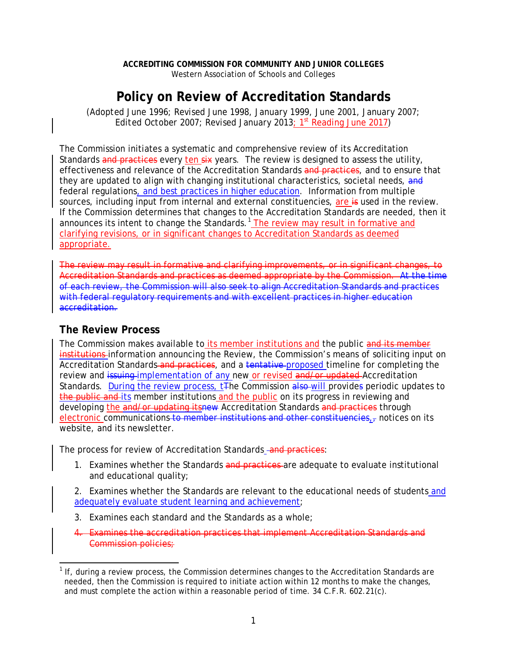## **Policy on Review of Accreditation Standards**

*(Adopted June 1996; Revised June 1998, January 1999, June 2001, January 2007; Edited October 2007; Revised January 2013; 1st Reading June 2017)*

The Commission initiates a systematic and comprehensive review of its Accreditation Standards and practices every ten six years. The review is designed to assess the utility, effectiveness and relevance of the Accreditation Standards and practices, and to ensure that they are updated to align with changing institutional characteristics, societal needs, and federal regulations, and best practices in higher education. Information from multiple sources, including input from internal and external constituencies, are is used in the review. If the Commission determines that changes to the Accreditation Standards are needed, then it announces its intent to change the Standards.<sup>[1](#page-0-0)</sup> The review may result in formative and clarifying revisions, or in significant changes to Accreditation Standards as deemed appropriate.

The review may result in formative and clarifying improvements, or in significant changes, to Accreditation Standards and practices as deemed appropriate by the Commission. At the time of each review, the Commission will also seek to align Accreditation Standards and practices with federal regulatory reguirements and with excellent practices in higher education accreditation.

## **The Review Process**

The Commission makes available to its member institutions and the public and its member institutions-information announcing the Review, the Commission's means of soliciting input on Accreditation Standards and practices, and a tentative proposed timeline for completing the review and issuing-implementation of any new or revised and/or updated Accreditation Standards. During the review process, t<sub>The</sub> Commission also will provides periodic updates to the public and its member institutions and the public on its progress in reviewing and developing the and/or updating itsnew Accreditation Standards and practices through electronic communications to member institutions and other constituencies, $\tau$  notices on its website, and its newsletter.

The process for review of Accreditation Standards - and practices:

1. Examines whether the Standards and practices are adequate to evaluate institutional and educational quality;

2. Examines whether the Standards are relevant to the educational needs of students and adequately evaluate student learning and achievement;

- 3. Examines each standard and the Standards as a whole;
- 4. Examines the accreditation practices that implement Accreditation Standards and Commission policies;

<span id="page-0-0"></span> $1$  If, during a review process, the Commission determines changes to the Accreditation Standards are needed, then the Commission is required to initiate action within 12 months to make the changes, and must complete the action within a reasonable period of time. 34 C.F.R. 602.21(c).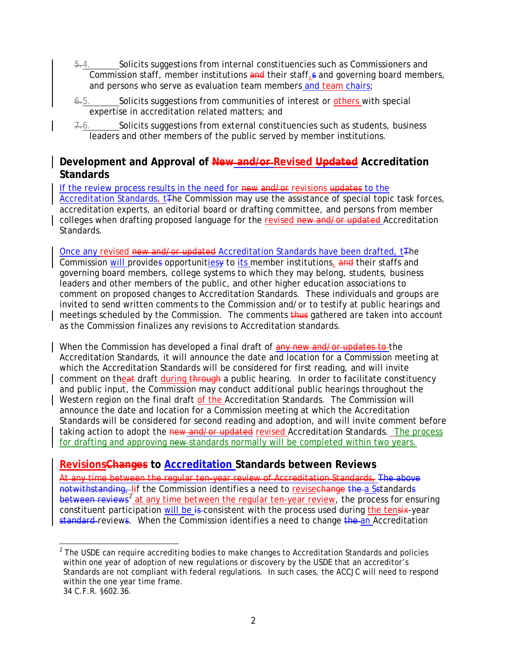- 5.4. Solicits suggestions from internal constituencies such as Commissioners and Commission staff, member institutions and their staff, and governing board members, and persons who serve as evaluation team members and team chairs;
- 6.5. Solicits suggestions from communities of interest or others with special expertise in accreditation related matters; and
- Solicits suggestions from external constituencies such as students, business leaders and other members of the public served by member institutions.

## **Development and Approval of New and/or Revised Updated Accreditation Standards**

If the review process results in the need for new and/or revisions updates to the Accreditation Standards, t<sub>The</sub> Commission may use the assistance of special topic task forces, accreditation experts, an editorial board or drafting committee, and persons from member colleges when drafting proposed language for the revised new and/or updated Accreditation Standards.

Once any revised new and/or updated Accreditation Standards have been drafted, t<sub>The</sub> Commission will provides opportunities to its member institutions, and their staffs and governing board members, college systems to which they may belong, students, business leaders and other members of the public, and other higher education associations to comment on proposed changes to Accreditation Standards. These individuals and groups are invited to send written comments to the Commission and/or to testify at public hearings and meetings scheduled by the Commission. The comments thus gathered are taken into account as the Commission finalizes any revisions to Accreditation standards.

When the Commission has developed a final draft of any new and/or updates to the Accreditation Standards, it will announce the date and location for a Commission meeting at which the Accreditation Standards will be considered for first reading, and will invite comment on theat draft during through a public hearing. In order to facilitate constituency and public input, the Commission may conduct additional public hearings throughout the Western region on the final draft of the Accreditation Standards. The Commission will announce the date and location for a Commission meeting at which the Accreditation Standards will be considered for second reading and adoption, and will invite comment before taking action to adopt the new and/or updated revised Accreditation Standards. The process for drafting and approving new standards normally will be completed within two years.

## **RevisionsChanges to Accreditation Standards between Reviews**

At any time between the regular ten-year review of Accreditation Standards, The above notwithstanding, lif the Commission identifies a need to revise change the a Sstandards between reviews<sup>[2](#page-1-0)</sup> at any time between the regular ten-year review, the process for ensuring constituent participation will be is consistent with the process used during the tensix-year standard reviews. When the Commission identifies a need to change the an Accreditation

<span id="page-1-0"></span> $2$  The USDE can require accrediting bodies to make changes to Accreditation Standards and policies within one year of adoption of new regulations or discovery by the USDE that an accreditor's Standards are not compliant with federal regulations. In such cases, the ACCJC will need to respond within the one year time frame.

<sup>34</sup> C.F.R. §602.36.